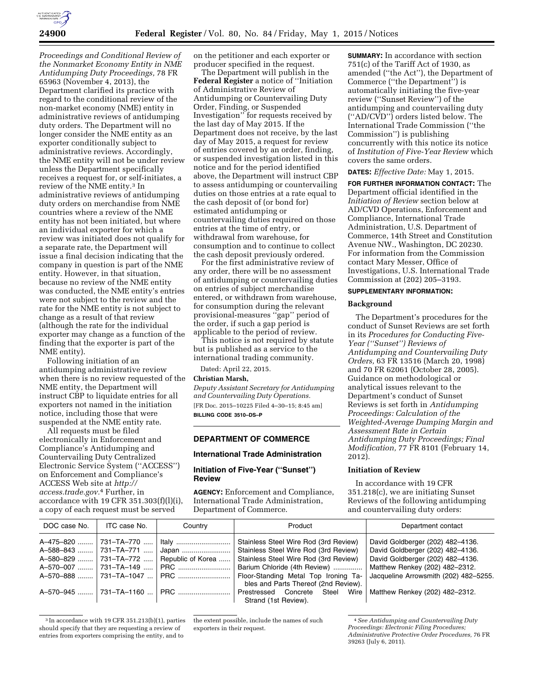

*Proceedings and Conditional Review of the Nonmarket Economy Entity in NME Antidumping Duty Proceedings,* 78 FR 65963 (November 4, 2013), the Department clarified its practice with regard to the conditional review of the non-market economy (NME) entity in administrative reviews of antidumping duty orders. The Department will no longer consider the NME entity as an exporter conditionally subject to administrative reviews. Accordingly, the NME entity will not be under review unless the Department specifically receives a request for, or self-initiates, a review of the NME entity.3 In administrative reviews of antidumping duty orders on merchandise from NME countries where a review of the NME entity has not been initiated, but where an individual exporter for which a review was initiated does not qualify for a separate rate, the Department will issue a final decision indicating that the company in question is part of the NME entity. However, in that situation, because no review of the NME entity was conducted, the NME entity's entries were not subject to the review and the rate for the NME entity is not subject to change as a result of that review (although the rate for the individual exporter may change as a function of the finding that the exporter is part of the NME entity).

Following initiation of an antidumping administrative review when there is no review requested of the NME entity, the Department will instruct CBP to liquidate entries for all exporters not named in the initiation notice, including those that were suspended at the NME entity rate.

All requests must be filed electronically in Enforcement and Compliance's Antidumping and Countervailing Duty Centralized Electronic Service System (''ACCESS'') on Enforcement and Compliance's ACCESS Web site at *[http://](http://access.trade.gov) [access.trade.gov.](http://access.trade.gov)*4 Further, in accordance with 19 CFR  $351.303(f)(l)(i)$ , a copy of each request must be served

on the petitioner and each exporter or producer specified in the request.

The Department will publish in the **Federal Register** a notice of ''Initiation of Administrative Review of Antidumping or Countervailing Duty Order, Finding, or Suspended Investigation'' for requests received by the last day of May 2015. If the Department does not receive, by the last day of May 2015, a request for review of entries covered by an order, finding, or suspended investigation listed in this notice and for the period identified above, the Department will instruct CBP to assess antidumping or countervailing duties on those entries at a rate equal to the cash deposit of (or bond for) estimated antidumping or countervailing duties required on those entries at the time of entry, or withdrawal from warehouse, for consumption and to continue to collect the cash deposit previously ordered.

For the first administrative review of any order, there will be no assessment of antidumping or countervailing duties on entries of subject merchandise entered, or withdrawn from warehouse, for consumption during the relevant provisional-measures ''gap'' period of the order, if such a gap period is applicable to the period of review.

This notice is not required by statute but is published as a service to the international trading community.

Dated: April 22, 2015.

#### **Christian Marsh,**

*Deputy Assistant Secretary for Antidumping and Countervailing Duty Operations.*  [FR Doc. 2015–10225 Filed 4–30–15; 8:45 am] **BILLING CODE 3510–DS–P** 

#### **DEPARTMENT OF COMMERCE**

#### **International Trade Administration**

## **Initiation of Five-Year (''Sunset'') Review**

**AGENCY:** Enforcement and Compliance, International Trade Administration, Department of Commerce.

**SUMMARY:** In accordance with section 751(c) of the Tariff Act of 1930, as amended (''the Act''), the Department of Commerce ("the Department") is automatically initiating the five-year review (''Sunset Review'') of the antidumping and countervailing duty (''AD/CVD'') orders listed below. The International Trade Commission (''the Commission'') is publishing concurrently with this notice its notice of *Institution of Five-Year Review* which covers the same orders.

**DATES:** *Effective Date:* May 1, 2015.

**FOR FURTHER INFORMATION CONTACT:** The Department official identified in the *Initiation of Review* section below at AD/CVD Operations, Enforcement and Compliance, International Trade Administration, U.S. Department of Commerce, 14th Street and Constitution Avenue NW., Washington, DC 20230. For information from the Commission contact Mary Messer, Office of Investigations, U.S. International Trade Commission at (202) 205–3193.

#### **SUPPLEMENTARY INFORMATION:**

### **Background**

The Department's procedures for the conduct of Sunset Reviews are set forth in its *Procedures for Conducting Five-Year (''Sunset'') Reviews of Antidumping and Countervailing Duty Orders,* 63 FR 13516 (March 20, 1998) and 70 FR 62061 (October 28, 2005). Guidance on methodological or analytical issues relevant to the Department's conduct of Sunset Reviews is set forth in *Antidumping Proceedings: Calculation of the Weighted-Average Dumping Margin and Assessment Rate in Certain Antidumping Duty Proceedings; Final Modification,* 77 FR 8101 (February 14, 2012).

# **Initiation of Review**

In accordance with 19 CFR 351.218(c), we are initiating Sunset Reviews of the following antidumping and countervailing duty orders:

| DOC case No.                        | ITC case No.                                                           | Country                                    | Product                                                                                                                                                 | Department contact                                                                                                                         |
|-------------------------------------|------------------------------------------------------------------------|--------------------------------------------|---------------------------------------------------------------------------------------------------------------------------------------------------------|--------------------------------------------------------------------------------------------------------------------------------------------|
| A-475-820<br>A-580-829<br>A-570-007 | ⊢731–TA–770<br>A-588-843  731-TA-771<br>l 731–TA–772<br>∣ 731–TA–149 … | Italy<br>Japan<br>Republic of Korea<br>PRC | Stainless Steel Wire Rod (3rd Review)<br>Stainless Steel Wire Rod (3rd Review)<br>Stainless Steel Wire Rod (3rd Review)<br>Barium Chloride (4th Review) | David Goldberger (202) 482-4136.<br>David Goldberger (202) 482-4136.<br>David Goldberger (202) 482-4136.<br>Matthew Renkey (202) 482-2312. |
|                                     | A-570-888  731-TA-1047                                                 | $\parallel$ PRC                            | Floor-Standing Metal Top Ironing Ta-<br>bles and Parts Thereof (2nd Review).                                                                            | Jacqueline Arrowsmith (202) 482-5255.                                                                                                      |
|                                     |                                                                        |                                            | Prestressed Concrete Steel Wire Matthew Renkey (202) 482–2312.<br>Strand (1st Review).                                                                  |                                                                                                                                            |

3 In accordance with 19 CFR 351.213(b)(1), parties should specify that they are requesting a review of entries from exporters comprising the entity, and to

the extent possible, include the names of such exporters in their request.

<sup>4</sup>*See Antidumping and Countervailing Duty Proceedings: Electronic Filing Procedures; Administrative Protective Order Procedures,* 76 FR 39263 (July 6, 2011).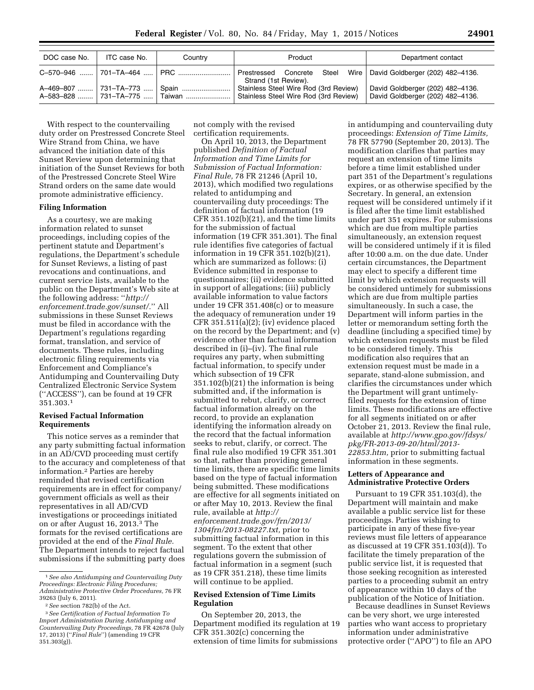| DOC case No. | ITC case No. | Country | Product                                                                                    | Department contact                                                   |
|--------------|--------------|---------|--------------------------------------------------------------------------------------------|----------------------------------------------------------------------|
|              |              |         | Prestressed Concrete Steel Wire   David Goldberger (202) 482-4136.<br>Strand (1st Review). |                                                                      |
|              |              |         | Stainless Steel Wire Rod (3rd Review)<br>Stainless Steel Wire Rod (3rd Review)             | David Goldberger (202) 482-4136.<br>David Goldberger (202) 482-4136. |

With respect to the countervailing duty order on Prestressed Concrete Steel Wire Strand from China, we have advanced the initiation date of this Sunset Review upon determining that initiation of the Sunset Reviews for both of the Prestressed Concrete Steel Wire Strand orders on the same date would promote administrative efficiency.

#### **Filing Information**

As a courtesy, we are making information related to sunset proceedings, including copies of the pertinent statute and Department's regulations, the Department's schedule for Sunset Reviews, a listing of past revocations and continuations, and current service lists, available to the public on the Department's Web site at the following address: ''*[http://](http://enforcement.trade.gov/sunset/) [enforcement.trade.gov/sunset/.](http://enforcement.trade.gov/sunset/)*'' All submissions in these Sunset Reviews must be filed in accordance with the Department's regulations regarding format, translation, and service of documents. These rules, including electronic filing requirements via Enforcement and Compliance's Antidumping and Countervailing Duty Centralized Electronic Service System (''ACCESS''), can be found at 19 CFR 351.303.1

## **Revised Factual Information Requirements**

This notice serves as a reminder that any party submitting factual information in an AD/CVD proceeding must certify to the accuracy and completeness of that information.2 Parties are hereby reminded that revised certification requirements are in effect for company/ government officials as well as their representatives in all AD/CVD investigations or proceedings initiated on or after August 16, 2013.3 The formats for the revised certifications are provided at the end of the *Final Rule.*  The Department intends to reject factual submissions if the submitting party does

not comply with the revised certification requirements.

On April 10, 2013, the Department published *Definition of Factual Information and Time Limits for Submission of Factual Information: Final Rule,* 78 FR 21246 (April 10, 2013), which modified two regulations related to antidumping and countervailing duty proceedings: The definition of factual information (19 CFR 351.102(b)(21), and the time limits for the submission of factual information (19 CFR 351.301). The final rule identifies five categories of factual information in 19 CFR 351.102(b)(21), which are summarized as follows: (i) Evidence submitted in response to questionnaires; (ii) evidence submitted in support of allegations; (iii) publicly available information to value factors under 19 CFR 351.408(c) or to measure the adequacy of remuneration under 19 CFR 351.511(a)(2); (iv) evidence placed on the record by the Department; and (v) evidence other than factual information described in (i)–(iv). The final rule requires any party, when submitting factual information, to specify under which subsection of 19 CFR 351.102(b)(21) the information is being submitted and, if the information is submitted to rebut, clarify, or correct factual information already on the record, to provide an explanation identifying the information already on the record that the factual information seeks to rebut, clarify, or correct. The final rule also modified 19 CFR 351.301 so that, rather than providing general time limits, there are specific time limits based on the type of factual information being submitted. These modifications are effective for all segments initiated on or after May 10, 2013. Review the final rule, available at *[http://](http://enforcement.trade.gov/frn/2013/1304frn/2013-08227.txt) [enforcement.trade.gov/frn/2013/](http://enforcement.trade.gov/frn/2013/1304frn/2013-08227.txt) [1304frn/2013-08227.txt,](http://enforcement.trade.gov/frn/2013/1304frn/2013-08227.txt)* prior to submitting factual information in this segment. To the extent that other regulations govern the submission of factual information in a segment (such as 19 CFR 351.218), these time limits will continue to be applied.

## **Revised Extension of Time Limits Regulation**

On September 20, 2013, the Department modified its regulation at 19 CFR 351.302(c) concerning the extension of time limits for submissions

in antidumping and countervailing duty proceedings: *Extension of Time Limits,*  78 FR 57790 (September 20, 2013). The modification clarifies that parties may request an extension of time limits before a time limit established under part 351 of the Department's regulations expires, or as otherwise specified by the Secretary. In general, an extension request will be considered untimely if it is filed after the time limit established under part 351 expires. For submissions which are due from multiple parties simultaneously, an extension request will be considered untimely if it is filed after 10:00 a.m. on the due date. Under certain circumstances, the Department may elect to specify a different time limit by which extension requests will be considered untimely for submissions which are due from multiple parties simultaneously. In such a case, the Department will inform parties in the letter or memorandum setting forth the deadline (including a specified time) by which extension requests must be filed to be considered timely. This modification also requires that an extension request must be made in a separate, stand-alone submission, and clarifies the circumstances under which the Department will grant untimelyfiled requests for the extension of time limits. These modifications are effective for all segments initiated on or after October 21, 2013. Review the final rule, available at *[http://www.gpo.gov/fdsys/](http://www.gpo.gov/fdsys/pkg/FR-2013-09-20/html/2013-22853.htm) [pkg/FR-2013-09-20/html/2013-](http://www.gpo.gov/fdsys/pkg/FR-2013-09-20/html/2013-22853.htm) [22853.htm,](http://www.gpo.gov/fdsys/pkg/FR-2013-09-20/html/2013-22853.htm)* prior to submitting factual information in these segments.

# **Letters of Appearance and Administrative Protective Orders**

Pursuant to 19 CFR 351.103(d), the Department will maintain and make available a public service list for these proceedings. Parties wishing to participate in any of these five-year reviews must file letters of appearance as discussed at 19 CFR 351.103(d)). To facilitate the timely preparation of the public service list, it is requested that those seeking recognition as interested parties to a proceeding submit an entry of appearance within 10 days of the publication of the Notice of Initiation.

Because deadlines in Sunset Reviews can be very short, we urge interested parties who want access to proprietary information under administrative protective order (''APO'') to file an APO

<sup>1</sup>*See also Antidumping and Countervailing Duty Proceedings: Electronic Filing Procedures; Administrative Protective Order Procedures,* 76 FR 39263 (July 6, 2011).

<sup>2</sup>*See* section 782(b) of the Act.

<sup>3</sup>*See Certification of Factual Information To Import Administration During Antidumping and Countervailing Duty Proceedings,* 78 FR 42678 (July 17, 2013) (''*Final Rule*'') (amending 19 CFR 351.303(g)).